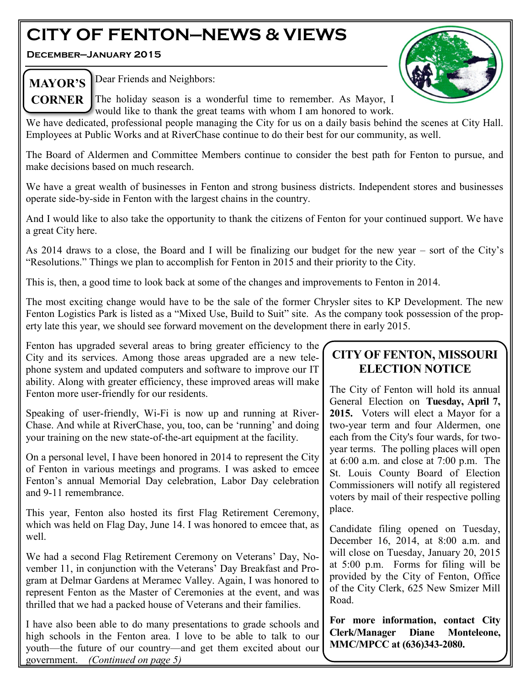# **CITY OF FENTON—NEWS & VIEWS**

**December—January 2015**



MAYOR'S **Dear Friends** and Neighbors:

**CORNER** The holiday season is a wonderful time to remember. As Mayor, I would like to thank the great teams with whom I am honored to work.

We have dedicated, professional people managing the City for us on a daily basis behind the scenes at City Hall. Employees at Public Works and at RiverChase continue to do their best for our community, as well.

The Board of Aldermen and Committee Members continue to consider the best path for Fenton to pursue, and make decisions based on much research.

We have a great wealth of businesses in Fenton and strong business districts. Independent stores and businesses operate side-by-side in Fenton with the largest chains in the country.

And I would like to also take the opportunity to thank the citizens of Fenton for your continued support. We have a great City here.

As 2014 draws to a close, the Board and I will be finalizing our budget for the new year – sort of the City's "Resolutions." Things we plan to accomplish for Fenton in 2015 and their priority to the City.

This is, then, a good time to look back at some of the changes and improvements to Fenton in 2014.

The most exciting change would have to be the sale of the former Chrysler sites to KP Development. The new Fenton Logistics Park is listed as a "Mixed Use, Build to Suit" site. As the company took possession of the property late this year, we should see forward movement on the development there in early 2015.

Fenton has upgraded several areas to bring greater efficiency to the City and its services. Among those areas upgraded are a new telephone system and updated computers and software to improve our IT ability. Along with greater efficiency, these improved areas will make Fenton more user-friendly for our residents.

Speaking of user-friendly, Wi-Fi is now up and running at River-Chase. And while at RiverChase, you, too, can be 'running' and doing your training on the new state-of-the-art equipment at the facility.

On a personal level, I have been honored in 2014 to represent the City of Fenton in various meetings and programs. I was asked to emcee Fenton's annual Memorial Day celebration, Labor Day celebration and 9-11 remembrance.

This year, Fenton also hosted its first Flag Retirement Ceremony, which was held on Flag Day, June 14. I was honored to emcee that, as well.

We had a second Flag Retirement Ceremony on Veterans' Day, November 11, in conjunction with the Veterans' Day Breakfast and Program at Delmar Gardens at Meramec Valley. Again, I was honored to represent Fenton as the Master of Ceremonies at the event, and was thrilled that we had a packed house of Veterans and their families.

I have also been able to do many presentations to grade schools and high schools in the Fenton area. I love to be able to talk to our youth—the future of our country—and get them excited about our government. *(Continued on page 5)*

# **CITY OF FENTON, MISSOURI ELECTION NOTICE**

The City of Fenton will hold its annual General Election on **Tuesday, April 7, 2015.** Voters will elect a Mayor for a two-year term and four Aldermen, one each from the City's four wards, for twoyear terms. The polling places will open at 6:00 a.m. and close at 7:00 p.m. The St. Louis County Board of Election Commissioners will notify all registered voters by mail of their respective polling place.

Candidate filing opened on Tuesday, December 16, 2014, at 8:00 a.m. and will close on Tuesday, January 20, 2015 at 5:00 p.m. Forms for filing will be provided by the City of Fenton, Office of the City Clerk, 625 New Smizer Mill Road.

**For more information, contact City Clerk/Manager Diane Monteleone, MMC/MPCC at (636)343-2080.**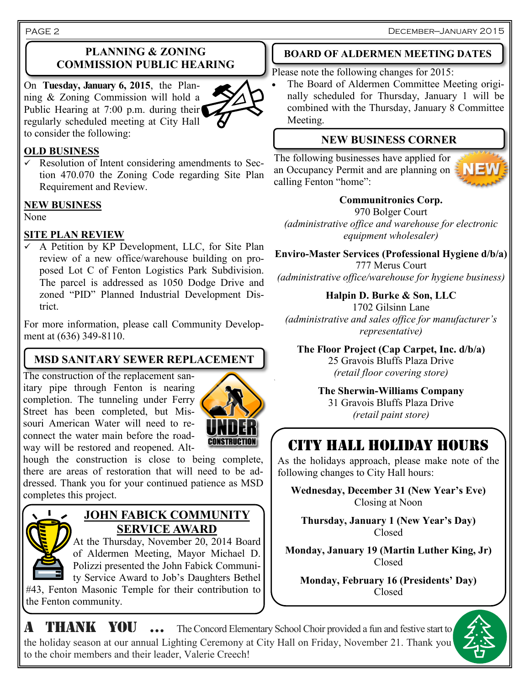### **PLANNING & ZONING COMMISSION PUBLIC HEARING**

On **Tuesday, January 6, 2015**, the Planning & Zoning Commission will hold a Public Hearing at 7:00 p.m. during their regularly scheduled meeting at City Hall to consider the following:



#### **OLD BUSINESS**

 $\checkmark$  Resolution of Intent considering amendments to Section 470.070 the Zoning Code regarding Site Plan Requirement and Review.

### **NEW BUSINESS**

None

### **SITE PLAN REVIEW**

 $\overline{\smile}$  A Petition by KP Development, LLC, for Site Plan review of a new office/warehouse building on proposed Lot C of Fenton Logistics Park Subdivision. The parcel is addressed as 1050 Dodge Drive and zoned "PID" Planned Industrial Development District.

For more information, please call Community Development at (636) 349-8110.

# **MSD SANITARY SEWER REPLACEMENT**

The construction of the replacement sanitary pipe through Fenton is nearing completion. The tunneling under Ferry Street has been completed, but Missouri American Water will need to reconnect the water main before the roadway will be restored and reopened. Alt-



`

hough the construction is close to being complete, there are areas of restoration that will need to be addressed. Thank you for your continued patience as MSD completes this project.



## **JOHN FABICK COMMUNITY SERVICE AWARD**

At the Thursday, November 20, 2014 Board of Aldermen Meeting, Mayor Michael D. Polizzi presented the John Fabick Community Service Award to Job's Daughters Bethel

#43, Fenton Masonic Temple for their contribution to the Fenton community.

# **BOARD OF ALDERMEN MEETING DATES**

Please note the following changes for 2015:

 The Board of Aldermen Committee Meeting originally scheduled for Thursday, January 1 will be combined with the Thursday, January 8 Committee Meeting.

# **NEW BUSINESS CORNER**

The following businesses have applied for an Occupancy Permit and are planning on calling Fenton "home":



# **Communitronics Corp.**

970 Bolger Court *(administrative office and warehouse for electronic equipment wholesaler)*

**Enviro-Master Services (Professional Hygiene d/b/a)** 777 Merus Court *(administrative office/warehouse for hygiene business)*

**Halpin D. Burke & Son, LLC** 1702 Gilsinn Lane *(administrative and sales office for manufacturer's representative)*

**The Floor Project (Cap Carpet, Inc. d/b/a)** 25 Gravois Bluffs Plaza Drive *(retail floor covering store)*

> **The Sherwin-Williams Company** 31 Gravois Bluffs Plaza Drive *(retail paint store)*

# CITY HALL HOLIDAY HOURS

As the holidays approach, please make note of the following changes to City Hall hours:

**Wednesday, December 31 (New Year's Eve)** Closing at Noon

**Thursday, January 1 (New Year's Day)** Closed

**Monday, January 19 (Martin Luther King, Jr)** Closed

**Monday, February 16 (Presidents' Day)** Closed



A THANK YOU ... The Concord Elementary School Choir provided a fun and festive start to the holiday season at our annual Lighting Ceremony at City Hall on Friday, November 21. Thank you to the choir members and their leader, Valerie Creech!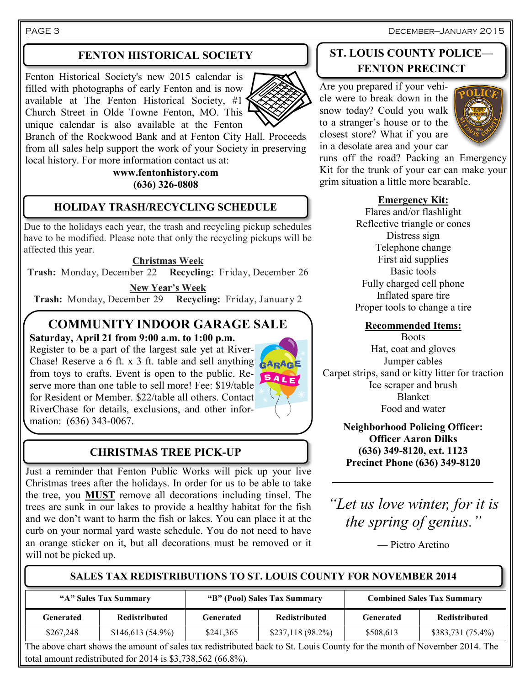PAGE 3 December—January 2015

### **FENTON HISTORICAL SOCIETY**

Fenton Historical Society's new 2015 calendar is filled with photographs of early Fenton and is now available at The Fenton Historical Society,  $#1$ <sup></sup> Church Street in Olde Towne Fenton, MO. This unique calendar is also available at the Fenton



Branch of the Rockwood Bank and at Fenton City Hall. Proceeds from all sales help support the work of your Society in preserving local history. For more information contact us at:

#### **www.fentonhistory.com (636) 326-0808**

### **HOLIDAY TRASH/RECYCLING SCHEDULE**

Due to the holidays each year, the trash and recycling pickup schedules have to be modified. Please note that only the recycling pickups will be affected this year.

#### **Christmas Week**

**Trash:** Monday, December 22 **Recycling:** Friday, December 26

**New Year's Week Trash:** Monday, December 29 **Recycling:** Friday, January 2

# **COMMUNITY INDOOR GARAGE SALE**

**Saturday, April 21 from 9:00 a.m. to 1:00 p.m.**

Register to be a part of the largest sale yet at River-Chase! Reserve a 6 ft. x 3 ft. table and sell anything from toys to crafts. Event is open to the public. Re-SALE serve more than one table to sell more! Fee: \$19/table for Resident or Member. \$22/table all others. Contact RiverChase for details, exclusions, and other information: (636) 343-0067.

# **CHRISTMAS TREE PICK-UP**

Just a reminder that Fenton Public Works will pick up your live Christmas trees after the holidays. In order for us to be able to take the tree, you **MUST** remove all decorations including tinsel. The trees are sunk in our lakes to provide a healthy habitat for the fish and we don't want to harm the fish or lakes. You can place it at the curb on your normal yard waste schedule. You do not need to have an orange sticker on it, but all decorations must be removed or it will not be picked up.

### **ST. LOUIS COUNTY POLICE— FENTON PRECINCT**

Are you prepared if your vehicle were to break down in the snow today? Could you walk to a stranger's house or to the closest store? What if you are in a desolate area and your car



runs off the road? Packing an Emergency Kit for the trunk of your car can make your grim situation a little more bearable.

#### **Emergency Kit:**

Flares and/or flashlight Reflective triangle or cones Distress sign Telephone change First aid supplies Basic tools Fully charged cell phone Inflated spare tire Proper tools to change a tire

#### **Recommended Items:**

**Boots** Hat, coat and gloves Jumper cables Carpet strips, sand or kitty litter for traction Ice scraper and brush Blanket Food and water

> **Neighborhood Policing Officer: Officer Aaron Dilks (636) 349-8120, ext. 1123 Precinct Phone (636) 349-8120**

*"Let us love winter, for it is the spring of genius."*

— Pietro Aretino

#### **SALES TAX REDISTRIBUTIONS TO ST. LOUIS COUNTY FOR NOVEMBER 2014**

| "A" Sales Tax Summary |                      | "B" (Pool) Sales Tax Summary |                      | <b>Combined Sales Tax Summary</b> |                      |
|-----------------------|----------------------|------------------------------|----------------------|-----------------------------------|----------------------|
| Generated             | <b>Redistributed</b> | Generated                    | <b>Redistributed</b> | Generated                         | <b>Redistributed</b> |
| \$267,248             | $$146,613(54.9\%)$   | \$241,365                    | $$237,118(98.2\%)$   | \$508,613                         | $$383,731 (75.4\%)$  |

The above chart shows the amount of sales tax redistributed back to St. Louis County for the month of November 2014. The total amount redistributed for 2014 is \$3,738,562 (66.8%).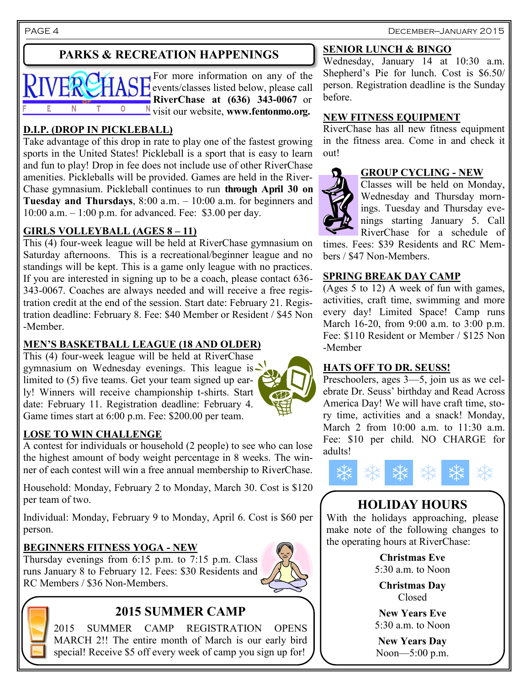PAGE 4 December—January 2015

# **PARKS & RECREATION HAPPENINGS**



### **D.I.P. (DROP IN PICKLEBALL)**

Take advantage of this drop in rate to play one of the fastest growing sports in the United States! Pickleball is a sport that is easy to learn and fun to play! Drop in fee does not include use of other RiverChase amenities. Pickleballs will be provided. Games are held in the River-Chase gymnasium. Pickleball continues to run **through April 30 on Tuesday and Thursdays**, 8:00 a.m. – 10:00 a.m. for beginners and 10:00 a.m. – 1:00 p.m. for advanced. Fee: \$3.00 per day.

### **GIRLS VOLLEYBALL (AGES 8 – 11)**

This (4) four-week league will be held at RiverChase gymnasium on Saturday afternoons. This is a recreational/beginner league and no standings will be kept. This is a game only league with no practices. If you are interested in signing up to be a coach, please contact 636- 343-0067. Coaches are always needed and will receive a free registration credit at the end of the session. Start date: February 21. Registration deadline: February 8. Fee: \$40 Member or Resident / \$45 Non -Member.

#### **MEN'S BASKETBALL LEAGUE (18 AND OLDER)**

This (4) four-week league will be held at RiverChase gymnasium on Wednesday evenings. This league is  $\geq$ limited to (5) five teams. Get your team signed up early! Winners will receive championship t-shirts. Start date: February 11. Registration deadline: February 4. Game times start at 6:00 p.m. Fee: \$200.00 per team.

### **LOSE TO WIN CHALLENGE**

A contest for individuals or household (2 people) to see who can lose the highest amount of body weight percentage in 8 weeks. The winner of each contest will win a free annual membership to RiverChase.

Household: Monday, February 2 to Monday, March 30. Cost is \$120 per team of two.

Individual: Monday, February 9 to Monday, April 6. Cost is \$60 per person.

#### **BEGINNERS FITNESS YOGA - NEW**

Thursday evenings from  $6:15$  p.m. to  $7:15$  p.m. Class runs January 8 to February 12. Fees: \$30 Residents and RC Members / \$36 Non-Members.





## **2015 SUMMER CAMP**

2015 SUMMER CAMP REGISTRATION OPENS MARCH 2!! The entire month of March is our early bird special! Receive \$5 off every week of camp you sign up for!

#### **SENIOR LUNCH & BINGO**

Wednesday, January 14 at 10:30 a.m. Shepherd's Pie for lunch. Cost is \$6.50/ person. Registration deadline is the Sunday before.

#### **NEW FITNESS EQUIPMENT**

RiverChase has all new fitness equipment in the fitness area. Come in and check it out!

# **GROUP CYCLING - NEW**

Classes will be held on Monday, Wednesday and Thursday mornings. Tuesday and Thursday evenings starting January 5. Call RiverChase for a schedule of

times. Fees: \$39 Residents and RC Members / \$47 Non-Members.

#### **SPRING BREAK DAY CAMP**

(Ages 5 to 12) A week of fun with games, activities, craft time, swimming and more every day! Limited Space! Camp runs March 16-20, from 9:00 a.m. to 3:00 p.m. Fee: \$110 Resident or Member / \$125 Non -Member

#### **HATS OFF TO DR. SEUSS!**

Preschoolers, ages 3—5, join us as we celebrate Dr. Seuss' birthday and Read Across America Day! We will have craft time, story time, activities and a snack! Monday, March 2 from 10:00 a.m. to 11:30 a.m. Fee: \$10 per child. NO CHARGE for adults!



## **HOLIDAY HOURS**

With the holidays approaching, please make note of the following changes to the operating hours at RiverChase:

> **Christmas Eve**  $5:30$  a.m. to Noon

**Christmas Day** Closed

**New Years Eve** 5:30 a.m. to Noon

**New Years Day** Noon—5:00 p.m.

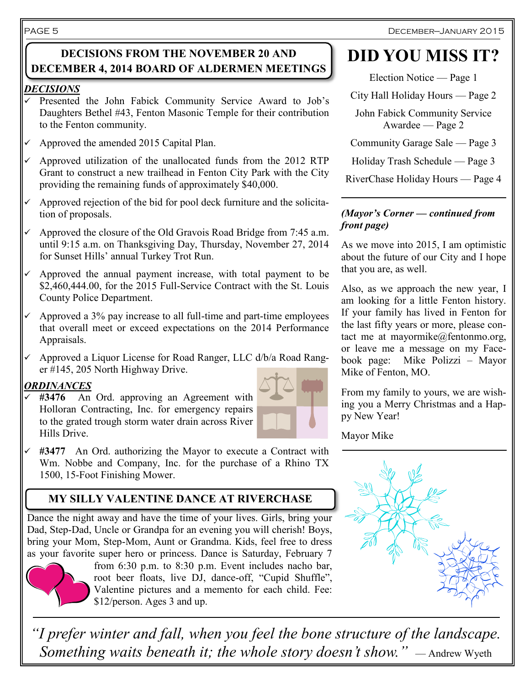#### PAGE 5

### **DECISIONS FROM THE NOVEMBER 20 AND DECEMBER 4, 2014 BOARD OF ALDERMEN MEETINGS**

#### *DECISIONS*

- Presented the John Fabick Community Service Award to Job's Daughters Bethel #43, Fenton Masonic Temple for their contribution to the Fenton community.
- $\sim$  Approved the amended 2015 Capital Plan.
- $\sim$  Approved utilization of the unallocated funds from the 2012 RTP Grant to construct a new trailhead in Fenton City Park with the City providing the remaining funds of approximately \$40,000.
- $\checkmark$  Approved rejection of the bid for pool deck furniture and the solicitation of proposals.
- $\sim$  Approved the closure of the Old Gravois Road Bridge from 7:45 a.m. until 9:15 a.m. on Thanksgiving Day, Thursday, November 27, 2014 for Sunset Hills' annual Turkey Trot Run.
- $\checkmark$  Approved the annual payment increase, with total payment to be \$2,460,444.00, for the 2015 Full-Service Contract with the St. Louis County Police Department.
- $\checkmark$  Approved a 3% pay increase to all full-time and part-time employees that overall meet or exceed expectations on the 2014 Performance Appraisals.
- $\checkmark$  Approved a Liquor License for Road Ranger, LLC d/b/a Road Ranger #145, 205 North Highway Drive.

### *ORDINANCES*

 $\overline{\smash{6}}$  **#3476** An Ord. approving an Agreement with Holloran Contracting, Inc. for emergency repairs to the grated trough storm water drain across River Hills Drive.



 **#3477** An Ord. authorizing the Mayor to execute a Contract with Wm. Nobbe and Company, Inc. for the purchase of a Rhino TX 1500, 15-Foot Finishing Mower.

# **MY SILLY VALENTINE DANCE AT RIVERCHASE**

Dance the night away and have the time of your lives. Girls, bring your Dad, Step-Dad, Uncle or Grandpa for an evening you will cherish! Boys, bring your Mom, Step-Mom, Aunt or Grandma. Kids, feel free to dress as your favorite super hero or princess. Dance is Saturday, February 7



from 6:30 p.m. to 8:30 p.m. Event includes nacho bar, root beer floats, live DJ, dance-off, "Cupid Shuffle", Valentine pictures and a memento for each child. Fee: \$12/person. Ages 3 and up.

# **DID YOU MISS IT?**

Election Notice — Page 1

City Hall Holiday Hours — Page 2

John Fabick Community Service Awardee — Page 2

Community Garage Sale — Page 3

Holiday Trash Schedule — Page 3

RiverChase Holiday Hours — Page 4

#### *(Mayor's Corner — continued from front page)*

As we move into 2015, I am optimistic about the future of our City and I hope that you are, as well.

Also, as we approach the new year, I am looking for a little Fenton history. If your family has lived in Fenton for the last fifty years or more, please contact me at mayormike $@$ fentonmo.org, or leave me a message on my Facebook page: Mike Polizzi – Mayor Mike of Fenton, MO.

From my family to yours, we are wishing you a Merry Christmas and a Happy New Year!

Mayor Mike



*"I prefer winter and fall, when you feel the bone structure of the landscape. Something waits beneath it; the whole story doesn't show.*" — Andrew Wyeth